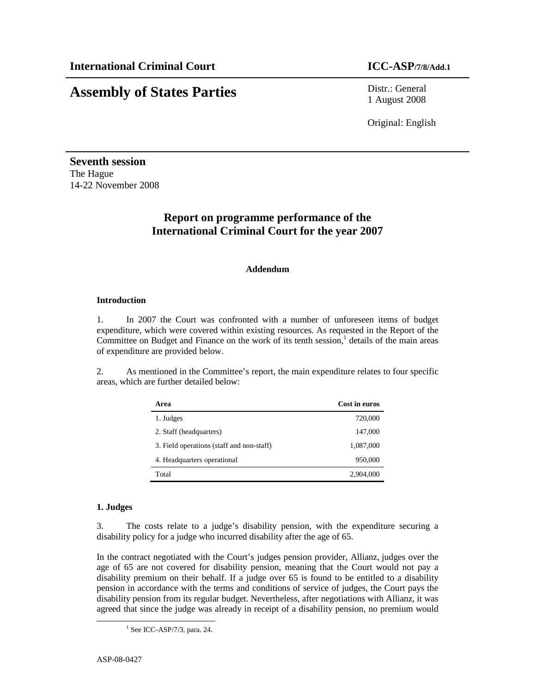# **Assembly of States Parties** Distr.: General

1 August 2008

Original: English

**Seventh session**  The Hague 14-22 November 2008

# **Report on programme performance of the International Criminal Court for the year 2007**

# **Addendum**

# **Introduction**

1. In 2007 the Court was confronted with a number of unforeseen items of budget expenditure, which were covered within existing resources. As requested in the Report of the Committee on Budget and Finance on the work of its tenth session,<sup>1</sup> details of the main areas of expenditure are provided below.

2. As mentioned in the Committee's report, the main expenditure relates to four specific areas, which are further detailed below:

| Area                                      | Cost in euros |
|-------------------------------------------|---------------|
| 1. Judges                                 | 720,000       |
| 2. Staff (headquarters)                   | 147,000       |
| 3. Field operations (staff and non-staff) | 1,087,000     |
| 4. Headquarters operational               | 950,000       |
| Total                                     | 2,904,000     |

# **1. Judges**

3. The costs relate to a judge's disability pension, with the expenditure securing a disability policy for a judge who incurred disability after the age of 65.

In the contract negotiated with the Court's judges pension provider, Allianz, judges over the age of 65 are not covered for disability pension, meaning that the Court would not pay a disability premium on their behalf. If a judge over 65 is found to be entitled to a disability pension in accordance with the terms and conditions of service of judges, the Court pays the disability pension from its regular budget. Nevertheless, after negotiations with Allianz, it was agreed that since the judge was already in receipt of a disability pension, no premium would

-

<sup>1</sup> See ICC-ASP/7/3, para. 24.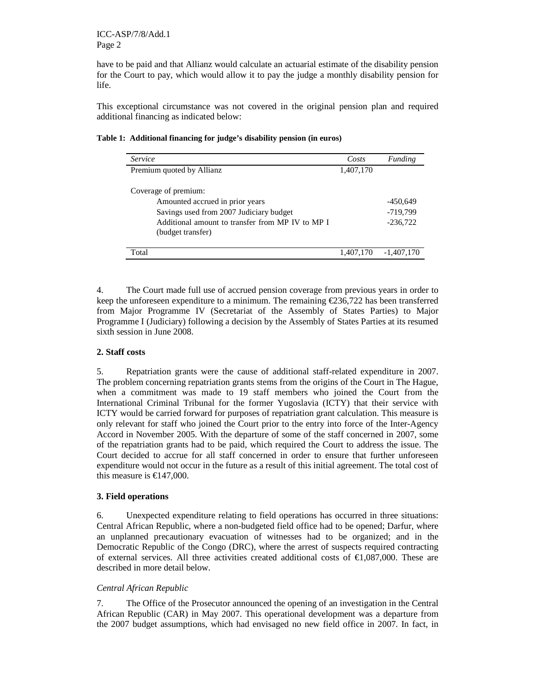have to be paid and that Allianz would calculate an actuarial estimate of the disability pension for the Court to pay, which would allow it to pay the judge a monthly disability pension for life.

This exceptional circumstance was not covered in the original pension plan and required additional financing as indicated below:

| <i>Service</i>                                                        | Costs     | Funding      |
|-----------------------------------------------------------------------|-----------|--------------|
| Premium quoted by Allianz                                             | 1,407,170 |              |
| Coverage of premium:                                                  |           |              |
| Amounted accrued in prior years                                       |           | -450,649     |
| Savings used from 2007 Judiciary budget                               |           | -719,799     |
| Additional amount to transfer from MP IV to MP I<br>(budget transfer) |           | $-236,722$   |
| Total                                                                 | 1,407,170 | $-1,407,170$ |

**Table 1: Additional financing for judge's disability pension (in euros)** 

4. The Court made full use of accrued pension coverage from previous years in order to keep the unforeseen expenditure to a minimum. The remaining  $\epsilon$  236,722 has been transferred from Major Programme IV (Secretariat of the Assembly of States Parties) to Major Programme I (Judiciary) following a decision by the Assembly of States Parties at its resumed sixth session in June 2008.

# **2. Staff costs**

5. Repatriation grants were the cause of additional staff-related expenditure in 2007. The problem concerning repatriation grants stems from the origins of the Court in The Hague, when a commitment was made to 19 staff members who joined the Court from the International Criminal Tribunal for the former Yugoslavia (ICTY) that their service with ICTY would be carried forward for purposes of repatriation grant calculation. This measure is only relevant for staff who joined the Court prior to the entry into force of the Inter-Agency Accord in November 2005. With the departure of some of the staff concerned in 2007, some of the repatriation grants had to be paid, which required the Court to address the issue. The Court decided to accrue for all staff concerned in order to ensure that further unforeseen expenditure would not occur in the future as a result of this initial agreement. The total cost of this measure is  $\text{\textsterling}147,000$ .

# **3. Field operations**

6. Unexpected expenditure relating to field operations has occurred in three situations: Central African Republic, where a non-budgeted field office had to be opened; Darfur, where an unplanned precautionary evacuation of witnesses had to be organized; and in the Democratic Republic of the Congo (DRC), where the arrest of suspects required contracting of external services. All three activities created additional costs of  $\epsilon$ 1,087,000. These are described in more detail below.

# *Central African Republic*

7. The Office of the Prosecutor announced the opening of an investigation in the Central African Republic (CAR) in May 2007. This operational development was a departure from the 2007 budget assumptions, which had envisaged no new field office in 2007. In fact, in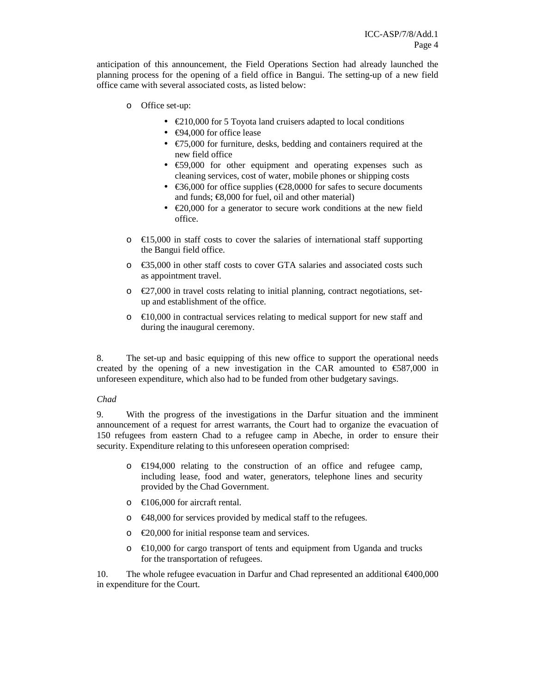anticipation of this announcement, the Field Operations Section had already launched the planning process for the opening of a field office in Bangui. The setting-up of a new field office came with several associated costs, as listed below:

- o Office set-up:
	- $\epsilon$ 210,000 for 5 Toyota land cruisers adapted to local conditions
	- $\epsilon$ 94,000 for office lease
	- $\epsilon$ 75,000 for furniture, desks, bedding and containers required at the new field office
	- $\epsilon$ 59,000 for other equipment and operating expenses such as cleaning services, cost of water, mobile phones or shipping costs
	- $\epsilon$ 36,000 for office supplies ( $\epsilon$ 28,0000 for safes to secure documents and funds;  $€8,000$  for fuel, oil and other material)
	- $\epsilon$ 20,000 for a generator to secure work conditions at the new field office.
- $\circ$   $\in$  15,000 in staff costs to cover the salaries of international staff supporting the Bangui field office.
- o €35,000 in other staff costs to cover GTA salaries and associated costs such as appointment travel.
- $\circ$   $\in$  27,000 in travel costs relating to initial planning, contract negotiations, setup and establishment of the office.
- $\circ$   $\in$  10,000 in contractual services relating to medical support for new staff and during the inaugural ceremony.

8. The set-up and basic equipping of this new office to support the operational needs created by the opening of a new investigation in the CAR amounted to  $\epsilon$ 587,000 in unforeseen expenditure, which also had to be funded from other budgetary savings.

# *Chad*

9. With the progress of the investigations in the Darfur situation and the imminent announcement of a request for arrest warrants, the Court had to organize the evacuation of 150 refugees from eastern Chad to a refugee camp in Abeche, in order to ensure their security. Expenditure relating to this unforeseen operation comprised:

- o €194,000 relating to the construction of an office and refugee camp, including lease, food and water, generators, telephone lines and security provided by the Chad Government.
- $\circ$  €106,000 for aircraft rental.
- $\epsilon$   $\in$  48,000 for services provided by medical staff to the refugees.
- $\circ$   $\in$  20,000 for initial response team and services.
- o €10,000 for cargo transport of tents and equipment from Uganda and trucks for the transportation of refugees.

10. The whole refugee evacuation in Darfur and Chad represented an additional €400,000 in expenditure for the Court.